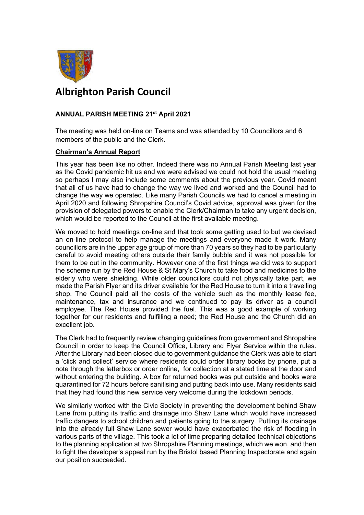

## **Albrighton Parish Council**

## **ANNUAL PARISH MEETING 21st April 2021**

The meeting was held on-line on Teams and was attended by 10 Councillors and 6 members of the public and the Clerk.

## **Chairman's Annual Report**

This year has been like no other. Indeed there was no Annual Parish Meeting last year as the Covid pandemic hit us and we were advised we could not hold the usual meeting so perhaps I may also include some comments about the previous year. Covid meant that all of us have had to change the way we lived and worked and the Council had to change the way we operated. Like many Parish Councils we had to cancel a meeting in April 2020 and following Shropshire Council's Covid advice, approval was given for the provision of delegated powers to enable the Clerk/Chairman to take any urgent decision, which would be reported to the Council at the first available meeting.

We moved to hold meetings on-line and that took some getting used to but we devised an on-line protocol to help manage the meetings and everyone made it work. Many councillors are in the upper age group of more than 70 years so they had to be particularly careful to avoid meeting others outside their family bubble and it was not possible for them to be out in the community. However one of the first things we did was to support the scheme run by the Red House & St Mary's Church to take food and medicines to the elderly who were shielding. While older councillors could not physically take part, we made the Parish Flyer and its driver available for the Red House to turn it into a travelling shop. The Council paid all the costs of the vehicle such as the monthly lease fee, maintenance, tax and insurance and we continued to pay its driver as a council employee. The Red House provided the fuel. This was a good example of working together for our residents and fulfilling a need; the Red House and the Church did an excellent job.

The Clerk had to frequently review changing guidelines from government and Shropshire Council in order to keep the Council Office, Library and Flyer Service within the rules. After the Library had been closed due to government guidance the Clerk was able to start a 'click and collect' service where residents could order library books by phone, put a note through the letterbox or order online, for collection at a stated time at the door and without entering the building. A box for returned books was put outside and books were quarantined for 72 hours before sanitising and putting back into use. Many residents said that they had found this new service very welcome during the lockdown periods.

We similarly worked with the Civic Society in preventing the development behind Shaw Lane from putting its traffic and drainage into Shaw Lane which would have increased traffic dangers to school children and patients going to the surgery. Putting its drainage into the already full Shaw Lane sewer would have exacerbated the risk of flooding in various parts of the village. This took a lot of time preparing detailed technical objections to the planning application at two Shropshire Planning meetings, which we won, and then to fight the developer's appeal run by the Bristol based Planning Inspectorate and again our position succeeded.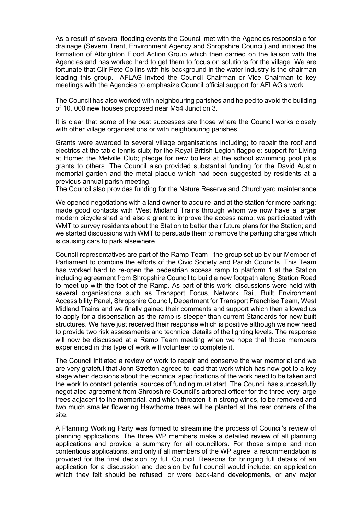As a result of several flooding events the Council met with the Agencies responsible for drainage (Severn Trent, Environment Agency and Shropshire Council) and initiated the formation of Albrighton Flood Action Group which then carried on the liaison with the Agencies and has worked hard to get them to focus on solutions for the village. We are fortunate that Cllr Pete Collins with his background in the water industry is the chairman leading this group. AFLAG invited the Council Chairman or Vice Chairman to key meetings with the Agencies to emphasize Council official support for AFLAG's work.

The Council has also worked with neighbouring parishes and helped to avoid the building of 10, 000 new houses proposed near M54 Junction 3.

It is clear that some of the best successes are those where the Council works closely with other village organisations or with neighbouring parishes.

Grants were awarded to several village organisations including; to repair the roof and electrics at the table tennis club; for the Royal British Legion flagpole; support for Living at Home; the Melville Club; pledge for new boilers at the school swimming pool plus grants to others. The Council also provided substantial funding for the David Austin memorial garden and the metal plaque which had been suggested by residents at a previous annual parish meeting.

The Council also provides funding for the Nature Reserve and Churchyard maintenance

We opened negotiations with a land owner to acquire land at the station for more parking; made good contacts with West Midland Trains through whom we now have a larger modern bicycle shed and also a grant to improve the access ramp; we participated with WMT to survey residents about the Station to better their future plans for the Station; and we started discussions with WMT to persuade them to remove the parking charges which is causing cars to park elsewhere.

Council representatives are part of the Ramp Team - the group set up by our Member of Parliament to combine the efforts of the Civic Society and Parish Councils. This Team has worked hard to re-open the pedestrian access ramp to platform 1 at the Station including agreement from Shropshire Council to build a new footpath along Station Road to meet up with the foot of the Ramp. As part of this work, discussions were held with several organisations such as Transport Focus, Network Rail, Built Environment Accessibility Panel, Shropshire Council, Department for Transport Franchise Team, West Midland Trains and we finally gained their comments and support which then allowed us to apply for a dispensation as the ramp is steeper than current Standards for new built structures. We have just received their response which is positive although we now need to provide two risk assessments and technical details of the lighting levels. The response will now be discussed at a Ramp Team meeting when we hope that those members experienced in this type of work will volunteer to complete it.

The Council initiated a review of work to repair and conserve the war memorial and we are very grateful that John Stretton agreed to lead that work which has now got to a key stage when decisions about the technical specifications of the work need to be taken and the work to contact potential sources of funding must start. The Council has successfully negotiated agreement from Shropshire Council's arboreal officer for the three very large trees adjacent to the memorial, and which threaten it in strong winds, to be removed and two much smaller flowering Hawthorne trees will be planted at the rear corners of the site.

A Planning Working Party was formed to streamline the process of Council's review of planning applications. The three WP members make a detailed review of all planning applications and provide a summary for all councillors. For those simple and non contentious applications, and only if all members of the WP agree, a recommendation is provided for the final decision by full Council. Reasons for bringing full details of an application for a discussion and decision by full council would include: an application which they felt should be refused, or were back-land developments, or any major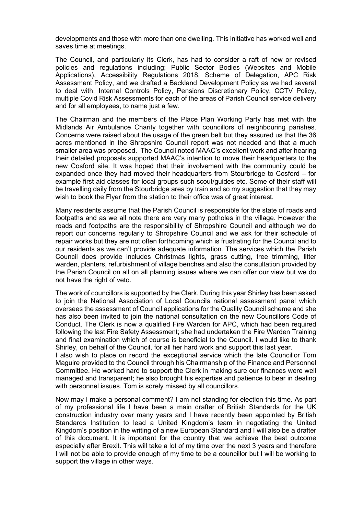developments and those with more than one dwelling. This initiative has worked well and saves time at meetings.

The Council, and particularly its Clerk, has had to consider a raft of new or revised policies and regulations including; Public Sector Bodies (Websites and Mobile Applications), Accessibility Regulations 2018, Scheme of Delegation, APC Risk Assessment Policy, and we drafted a Backland Development Policy as we had several to deal with, Internal Controls Policy, Pensions Discretionary Policy, CCTV Policy, multiple Covid Risk Assessments for each of the areas of Parish Council service delivery and for all employees, to name just a few.

The Chairman and the members of the Place Plan Working Party has met with the Midlands Air Ambulance Charity together with councillors of neighbouring parishes. Concerns were raised about the usage of the green belt but they assured us that the 36 acres mentioned in the Shropshire Council report was not needed and that a much smaller area was proposed. The Council noted MAAC's excellent work and after hearing their detailed proposals supported MAAC's intention to move their headquarters to the new Cosford site. It was hoped that their involvement with the community could be expanded once they had moved their headquarters from Stourbridge to Cosford – for example first aid classes for local groups such scout/guides etc. Some of their staff will be travelling daily from the Stourbridge area by train and so my suggestion that they may wish to book the Flyer from the station to their office was of great interest.

Many residents assume that the Parish Council is responsible for the state of roads and footpaths and as we all note there are very many potholes in the village. However the roads and footpaths are the responsibility of Shropshire Council and although we do report our concerns regularly to Shropshire Council and we ask for their schedule of repair works but they are not often forthcoming which is frustrating for the Council and to our residents as we can't provide adequate information. The services which the Parish Council does provide includes Christmas lights, grass cutting, tree trimming, litter warden, planters, refurbishment of village benches and also the consultation provided by the Parish Council on all on all planning issues where we can offer our view but we do not have the right of veto.

The work of councillors is supported by the Clerk. During this year Shirley has been asked to join the National Association of Local Councils national assessment panel which oversees the assessment of Council applications for the Quality Council scheme and she has also been invited to join the national consultation on the new Councillors Code of Conduct. The Clerk is now a qualified Fire Warden for APC, which had been required following the last Fire Safety Assessment; she had undertaken the Fire Warden Training and final examination which of course is beneficial to the Council. I would like to thank Shirley, on behalf of the Council, for all her hard work and support this last year.

I also wish to place on record the exceptional service which the late Councillor Tom Maguire provided to the Council through his Chairmanship of the Finance and Personnel Committee. He worked hard to support the Clerk in making sure our finances were well managed and transparent; he also brought his expertise and patience to bear in dealing with personnel issues. Tom is sorely missed by all councillors.

Now may I make a personal comment? I am not standing for election this time. As part of my professional life I have been a main drafter of British Standards for the UK construction industry over many years and I have recently been appointed by British Standards Institution to lead a United Kingdom's team in negotiating the United Kingdom's position in the writing of a new European Standard and I will also be a drafter of this document. It is important for the country that we achieve the best outcome especially after Brexit. This will take a lot of my time over the next 3 years and therefore I will not be able to provide enough of my time to be a councillor but I will be working to support the village in other ways.